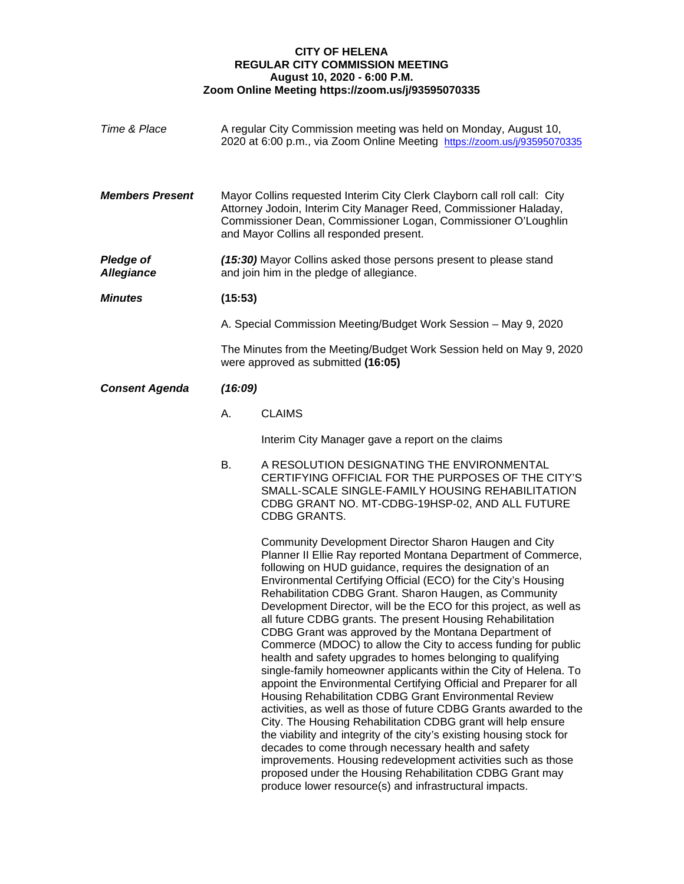## **CITY OF HELENA REGULAR CITY COMMISSION MEETING August 10, 2020 - 6:00 P.M. Zoom Online Meeting https://zoom.us/j/93595070335**

| Time & Place                          |                                                                                                                                                                                                                                                             | A regular City Commission meeting was held on Monday, August 10,<br>2020 at 6:00 p.m., via Zoom Online Meeting https://zoom.us/j/93595070335                                                                                                                                                                                                                                                                                                                                                                                                                                                                                                                                                                                                                                                                                                                                                                                                                                                                                                                                                                                                                                                                                                                                                               |  |
|---------------------------------------|-------------------------------------------------------------------------------------------------------------------------------------------------------------------------------------------------------------------------------------------------------------|------------------------------------------------------------------------------------------------------------------------------------------------------------------------------------------------------------------------------------------------------------------------------------------------------------------------------------------------------------------------------------------------------------------------------------------------------------------------------------------------------------------------------------------------------------------------------------------------------------------------------------------------------------------------------------------------------------------------------------------------------------------------------------------------------------------------------------------------------------------------------------------------------------------------------------------------------------------------------------------------------------------------------------------------------------------------------------------------------------------------------------------------------------------------------------------------------------------------------------------------------------------------------------------------------------|--|
| <b>Members Present</b>                | Mayor Collins requested Interim City Clerk Clayborn call roll call: City<br>Attorney Jodoin, Interim City Manager Reed, Commissioner Haladay,<br>Commissioner Dean, Commissioner Logan, Commissioner O'Loughlin<br>and Mayor Collins all responded present. |                                                                                                                                                                                                                                                                                                                                                                                                                                                                                                                                                                                                                                                                                                                                                                                                                                                                                                                                                                                                                                                                                                                                                                                                                                                                                                            |  |
| <b>Pledge of</b><br><b>Allegiance</b> | (15:30) Mayor Collins asked those persons present to please stand<br>and join him in the pledge of allegiance.                                                                                                                                              |                                                                                                                                                                                                                                                                                                                                                                                                                                                                                                                                                                                                                                                                                                                                                                                                                                                                                                                                                                                                                                                                                                                                                                                                                                                                                                            |  |
| <b>Minutes</b>                        | (15:53)                                                                                                                                                                                                                                                     |                                                                                                                                                                                                                                                                                                                                                                                                                                                                                                                                                                                                                                                                                                                                                                                                                                                                                                                                                                                                                                                                                                                                                                                                                                                                                                            |  |
|                                       | A. Special Commission Meeting/Budget Work Session - May 9, 2020                                                                                                                                                                                             |                                                                                                                                                                                                                                                                                                                                                                                                                                                                                                                                                                                                                                                                                                                                                                                                                                                                                                                                                                                                                                                                                                                                                                                                                                                                                                            |  |
|                                       | The Minutes from the Meeting/Budget Work Session held on May 9, 2020<br>were approved as submitted (16:05)                                                                                                                                                  |                                                                                                                                                                                                                                                                                                                                                                                                                                                                                                                                                                                                                                                                                                                                                                                                                                                                                                                                                                                                                                                                                                                                                                                                                                                                                                            |  |
| <b>Consent Agenda</b>                 | (16:09)                                                                                                                                                                                                                                                     |                                                                                                                                                                                                                                                                                                                                                                                                                                                                                                                                                                                                                                                                                                                                                                                                                                                                                                                                                                                                                                                                                                                                                                                                                                                                                                            |  |
|                                       | А.                                                                                                                                                                                                                                                          | <b>CLAIMS</b>                                                                                                                                                                                                                                                                                                                                                                                                                                                                                                                                                                                                                                                                                                                                                                                                                                                                                                                                                                                                                                                                                                                                                                                                                                                                                              |  |
|                                       |                                                                                                                                                                                                                                                             | Interim City Manager gave a report on the claims                                                                                                                                                                                                                                                                                                                                                                                                                                                                                                                                                                                                                                                                                                                                                                                                                                                                                                                                                                                                                                                                                                                                                                                                                                                           |  |
|                                       | В.                                                                                                                                                                                                                                                          | A RESOLUTION DESIGNATING THE ENVIRONMENTAL<br>CERTIFYING OFFICIAL FOR THE PURPOSES OF THE CITY'S<br>SMALL-SCALE SINGLE-FAMILY HOUSING REHABILITATION<br>CDBG GRANT NO. MT-CDBG-19HSP-02, AND ALL FUTURE<br>CDBG GRANTS.                                                                                                                                                                                                                                                                                                                                                                                                                                                                                                                                                                                                                                                                                                                                                                                                                                                                                                                                                                                                                                                                                    |  |
|                                       |                                                                                                                                                                                                                                                             | Community Development Director Sharon Haugen and City<br>Planner II Ellie Ray reported Montana Department of Commerce,<br>following on HUD guidance, requires the designation of an<br>Environmental Certifying Official (ECO) for the City's Housing<br>Rehabilitation CDBG Grant. Sharon Haugen, as Community<br>Development Director, will be the ECO for this project, as well as<br>all future CDBG grants. The present Housing Rehabilitation<br>CDBG Grant was approved by the Montana Department of<br>Commerce (MDOC) to allow the City to access funding for public<br>health and safety upgrades to homes belonging to qualifying<br>single-family homeowner applicants within the City of Helena. To<br>appoint the Environmental Certifying Official and Preparer for all<br>Housing Rehabilitation CDBG Grant Environmental Review<br>activities, as well as those of future CDBG Grants awarded to the<br>City. The Housing Rehabilitation CDBG grant will help ensure<br>the viability and integrity of the city's existing housing stock for<br>decades to come through necessary health and safety<br>improvements. Housing redevelopment activities such as those<br>proposed under the Housing Rehabilitation CDBG Grant may<br>produce lower resource(s) and infrastructural impacts. |  |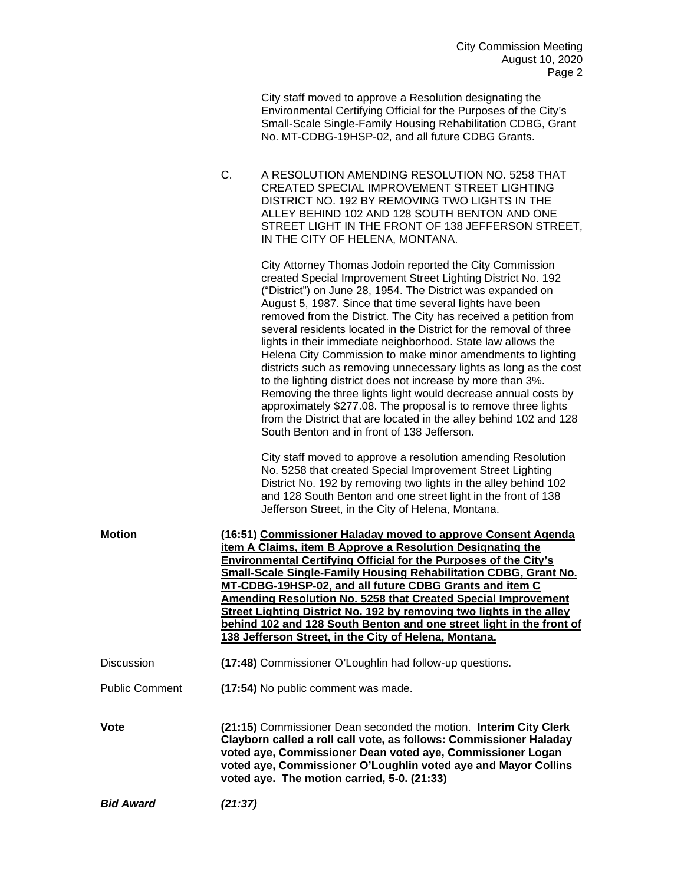City staff moved to approve a Resolution designating the Environmental Certifying Official for the Purposes of the City's Small-Scale Single-Family Housing Rehabilitation CDBG, Grant No. MT-CDBG-19HSP-02, and all future CDBG Grants.

C. A RESOLUTION AMENDING RESOLUTION NO. 5258 THAT CREATED SPECIAL IMPROVEMENT STREET LIGHTING DISTRICT NO. 192 BY REMOVING TWO LIGHTS IN THE ALLEY BEHIND 102 AND 128 SOUTH BENTON AND ONE STREET LIGHT IN THE FRONT OF 138 JEFFERSON STREET, IN THE CITY OF HELENA, MONTANA.

> City Attorney Thomas Jodoin reported the City Commission created Special Improvement Street Lighting District No. 192 ("District") on June 28, 1954. The District was expanded on August 5, 1987. Since that time several lights have been removed from the District. The City has received a petition from several residents located in the District for the removal of three lights in their immediate neighborhood. State law allows the Helena City Commission to make minor amendments to lighting districts such as removing unnecessary lights as long as the cost to the lighting district does not increase by more than 3%. Removing the three lights light would decrease annual costs by approximately \$277.08. The proposal is to remove three lights from the District that are located in the alley behind 102 and 128 South Benton and in front of 138 Jefferson.

City staff moved to approve a resolution amending Resolution No. 5258 that created Special Improvement Street Lighting District No. 192 by removing two lights in the alley behind 102 and 128 South Benton and one street light in the front of 138 Jefferson Street, in the City of Helena, Montana.

| (16:51) Commissioner Haladay moved to approve Consent Agenda         |
|----------------------------------------------------------------------|
| item A Claims, item B Approve a Resolution Designating the           |
| Environmental Certifying Official for the Purposes of the City's     |
| Small-Scale Single-Family Housing Rehabilitation CDBG, Grant No.     |
| MT-CDBG-19HSP-02, and all future CDBG Grants and item C              |
| Amending Resolution No. 5258 that Created Special Improvement        |
| Street Lighting District No. 192 by removing two lights in the alley |
| behind 102 and 128 South Benton and one street light in the front of |
| 138 Jefferson Street, in the City of Helena, Montana.                |
|                                                                      |
|                                                                      |

Discussion **(17:48)** Commissioner O'Loughlin had follow-up questions.

## Public Comment **(17:54)** No public comment was made.

**Vote (21:15)** Commissioner Dean seconded the motion. **Interim City Clerk Clayborn called a roll call vote, as follows: Commissioner Haladay voted aye, Commissioner Dean voted aye, Commissioner Logan voted aye, Commissioner O'Loughlin voted aye and Mayor Collins voted aye. The motion carried, 5-0. (21:33)**

*Bid Award (21:37)*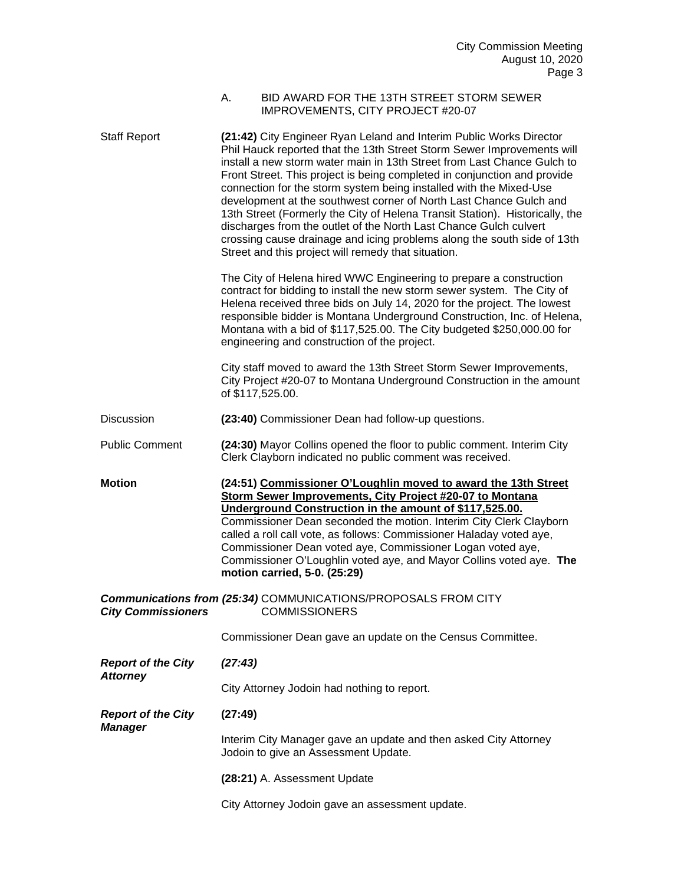## A. BID AWARD FOR THE 13TH STREET STORM SEWER IMPROVEMENTS, CITY PROJECT #20-07

| <b>Staff Report</b>       | (21:42) City Engineer Ryan Leland and Interim Public Works Director<br>Phil Hauck reported that the 13th Street Storm Sewer Improvements will<br>install a new storm water main in 13th Street from Last Chance Gulch to<br>Front Street. This project is being completed in conjunction and provide<br>connection for the storm system being installed with the Mixed-Use<br>development at the southwest corner of North Last Chance Gulch and<br>13th Street (Formerly the City of Helena Transit Station). Historically, the<br>discharges from the outlet of the North Last Chance Gulch culvert<br>crossing cause drainage and icing problems along the south side of 13th<br>Street and this project will remedy that situation.<br>The City of Helena hired WWC Engineering to prepare a construction<br>contract for bidding to install the new storm sewer system. The City of |  |
|---------------------------|------------------------------------------------------------------------------------------------------------------------------------------------------------------------------------------------------------------------------------------------------------------------------------------------------------------------------------------------------------------------------------------------------------------------------------------------------------------------------------------------------------------------------------------------------------------------------------------------------------------------------------------------------------------------------------------------------------------------------------------------------------------------------------------------------------------------------------------------------------------------------------------|--|
|                           | Helena received three bids on July 14, 2020 for the project. The lowest<br>responsible bidder is Montana Underground Construction, Inc. of Helena,<br>Montana with a bid of \$117,525.00. The City budgeted \$250,000.00 for<br>engineering and construction of the project.                                                                                                                                                                                                                                                                                                                                                                                                                                                                                                                                                                                                             |  |
|                           | City staff moved to award the 13th Street Storm Sewer Improvements,<br>City Project #20-07 to Montana Underground Construction in the amount<br>of \$117,525.00.                                                                                                                                                                                                                                                                                                                                                                                                                                                                                                                                                                                                                                                                                                                         |  |
| <b>Discussion</b>         | (23:40) Commissioner Dean had follow-up questions.                                                                                                                                                                                                                                                                                                                                                                                                                                                                                                                                                                                                                                                                                                                                                                                                                                       |  |
| <b>Public Comment</b>     | (24:30) Mayor Collins opened the floor to public comment. Interim City<br>Clerk Clayborn indicated no public comment was received.                                                                                                                                                                                                                                                                                                                                                                                                                                                                                                                                                                                                                                                                                                                                                       |  |
|                           |                                                                                                                                                                                                                                                                                                                                                                                                                                                                                                                                                                                                                                                                                                                                                                                                                                                                                          |  |
| <b>Motion</b>             | (24:51) Commissioner O'Loughlin moved to award the 13th Street<br>Storm Sewer Improvements, City Project #20-07 to Montana<br>Underground Construction in the amount of \$117,525.00.<br>Commissioner Dean seconded the motion. Interim City Clerk Clayborn<br>called a roll call vote, as follows: Commissioner Haladay voted aye,<br>Commissioner Dean voted aye, Commissioner Logan voted aye,<br>Commissioner O'Loughlin voted aye, and Mayor Collins voted aye. The<br>motion carried, 5-0. (25:29)                                                                                                                                                                                                                                                                                                                                                                                 |  |
| <b>City Commissioners</b> | <b>Communications from (25:34) COMMUNICATIONS/PROPOSALS FROM CITY</b><br><b>COMMISSIONERS</b>                                                                                                                                                                                                                                                                                                                                                                                                                                                                                                                                                                                                                                                                                                                                                                                            |  |
|                           | Commissioner Dean gave an update on the Census Committee.                                                                                                                                                                                                                                                                                                                                                                                                                                                                                                                                                                                                                                                                                                                                                                                                                                |  |
| <b>Report of the City</b> | (27:43)                                                                                                                                                                                                                                                                                                                                                                                                                                                                                                                                                                                                                                                                                                                                                                                                                                                                                  |  |
| <b>Attorney</b>           | City Attorney Jodoin had nothing to report.                                                                                                                                                                                                                                                                                                                                                                                                                                                                                                                                                                                                                                                                                                                                                                                                                                              |  |
| <b>Report of the City</b> | (27:49)                                                                                                                                                                                                                                                                                                                                                                                                                                                                                                                                                                                                                                                                                                                                                                                                                                                                                  |  |
| <b>Manager</b>            | Interim City Manager gave an update and then asked City Attorney<br>Jodoin to give an Assessment Update.                                                                                                                                                                                                                                                                                                                                                                                                                                                                                                                                                                                                                                                                                                                                                                                 |  |
|                           | (28:21) A. Assessment Update                                                                                                                                                                                                                                                                                                                                                                                                                                                                                                                                                                                                                                                                                                                                                                                                                                                             |  |